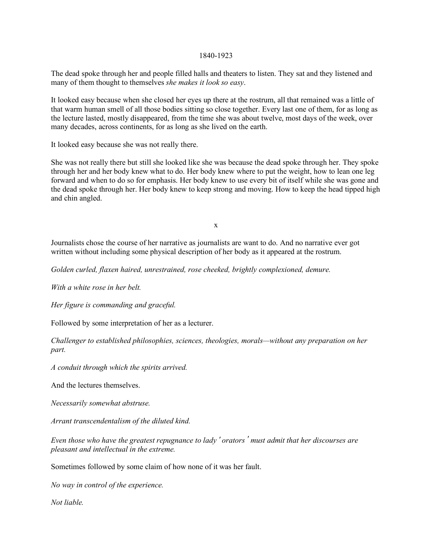## 1840-1923

The dead spoke through her and people filled halls and theaters to listen. They sat and they listened and many of them thought to themselves *she makes it look so easy*.

It looked easy because when she closed her eyes up there at the rostrum, all that remained was a little of that warm human smell of all those bodies sitting so close together. Every last one of them, for as long as the lecture lasted, mostly disappeared, from the time she was about twelve, most days of the week, over many decades, across continents, for as long as she lived on the earth.

It looked easy because she was not really there.

She was not really there but still she looked like she was because the dead spoke through her. They spoke through her and her body knew what to do. Her body knew where to put the weight, how to lean one leg forward and when to do so for emphasis. Her body knew to use every bit of itself while she was gone and the dead spoke through her. Her body knew to keep strong and moving. How to keep the head tipped high and chin angled.

x

Journalists chose the course of her narrative as journalists are want to do. And no narrative ever got written without including some physical description of her body as it appeared at the rostrum.

*Golden curled, flaxen haired, unrestrained, rose cheeked, brightly complexioned, demure.* 

*With a white rose in her belt.*

*Her figure is commanding and graceful.* 

Followed by some interpretation of her as a lecturer.

*Challenger to established philosophies, sciences, theologies, morals—without any preparation on her part.*

*A conduit through which the spirits arrived.*

And the lectures themselves.

*Necessarily somewhat abstruse.*

*Arrant transcendentalism of the diluted kind.* 

*Even those who have the greatest repugnance to lady ' orators ' must admit that her discourses are pleasant and intellectual in the extreme.*

Sometimes followed by some claim of how none of it was her fault.

*No way in control of the experience.* 

*Not liable.*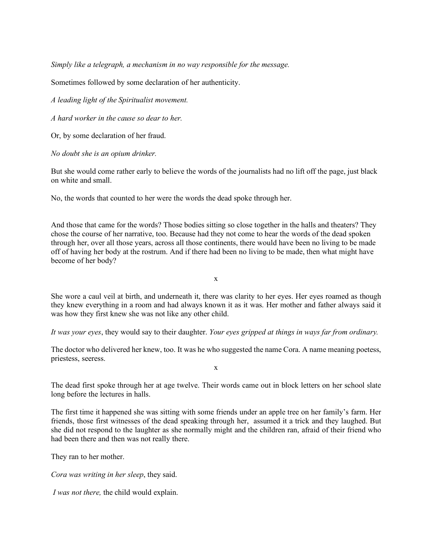*Simply like a telegraph, a mechanism in no way responsible for the message.* 

Sometimes followed by some declaration of her authenticity.

*A leading light of the Spiritualist movement.*

*A hard worker in the cause so dear to her.*

Or, by some declaration of her fraud.

*No doubt she is an opium drinker.* 

But she would come rather early to believe the words of the journalists had no lift off the page, just black on white and small.

No, the words that counted to her were the words the dead spoke through her.

And those that came for the words? Those bodies sitting so close together in the halls and theaters? They chose the course of her narrative, too. Because had they not come to hear the words of the dead spoken through her, over all those years, across all those continents, there would have been no living to be made off of having her body at the rostrum. And if there had been no living to be made, then what might have become of her body?

x

She wore a caul veil at birth, and underneath it, there was clarity to her eyes. Her eyes roamed as though they knew everything in a room and had always known it as it was. Her mother and father always said it was how they first knew she was not like any other child.

*It was your eyes*, they would say to their daughter. *Your eyes gripped at things in ways far from ordinary.* 

The doctor who delivered her knew, too. It was he who suggested the name Cora. A name meaning poetess, priestess, seeress.

x

The dead first spoke through her at age twelve. Their words came out in block letters on her school slate long before the lectures in halls.

The first time it happened she was sitting with some friends under an apple tree on her family's farm. Her friends, those first witnesses of the dead speaking through her, assumed it a trick and they laughed. But she did not respond to the laughter as she normally might and the children ran, afraid of their friend who had been there and then was not really there.

They ran to her mother.

*Cora was writing in her sleep*, they said.

*I was not there,* the child would explain.